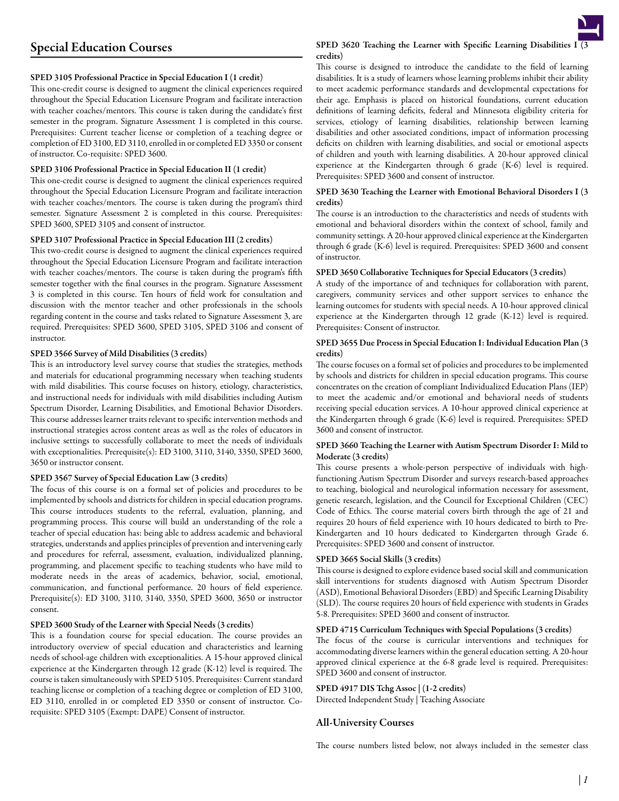# SPED 3105 Professional Practice in Special Education I (1 credit)

This one-credit course is designed to augment the clinical experiences required throughout the Special Education Licensure Program and facilitate interaction with teacher coaches/mentors. This course is taken during the candidate's first semester in the program. Signature Assessment 1 is completed in this course. Prerequisites: Current teacher license or completion of a teaching degree or completion of ED 3100, ED 3110, enrolled in or completed ED 3350 or consent of instructor. Co-requisite: SPED 3600.

## SPED 3106 Professional Practice in Special Education II (1 credit)

This one-credit course is designed to augment the clinical experiences required throughout the Special Education Licensure Program and facilitate interaction with teacher coaches/mentors. The course is taken during the program's third semester. Signature Assessment 2 is completed in this course. Prerequisites: SPED 3600, SPED 3105 and consent of instructor.

## SPED 3107 Professional Practice in Special Education III (2 credits)

This two-credit course is designed to augment the clinical experiences required throughout the Special Education Licensure Program and facilitate interaction with teacher coaches/mentors. The course is taken during the program's fifth semester together with the final courses in the program. Signature Assessment 3 is completed in this course. Ten hours of field work for consultation and discussion with the mentor teacher and other professionals in the schools regarding content in the course and tasks related to Signature Assessment 3, are required. Prerequisites: SPED 3600, SPED 3105, SPED 3106 and consent of instructor.

#### SPED 3566 Survey of Mild Disabilities (3 credits)

This is an introductory level survey course that studies the strategies, methods and materials for educational programming necessary when teaching students with mild disabilities. This course focuses on history, etiology, characteristics, and instructional needs for individuals with mild disabilities including Autism Spectrum Disorder, Learning Disabilities, and Emotional Behavior Disorders. This course addresses learner traits relevant to specific intervention methods and instructional strategies across content areas as well as the roles of educators in inclusive settings to successfully collaborate to meet the needs of individuals with exceptionalities. Prerequisite(s): ED 3100, 3110, 3140, 3350, SPED 3600, 3650 or instructor consent.

#### SPED 3567 Survey of Special Education Law (3 credits)

The focus of this course is on a formal set of policies and procedures to be implemented by schools and districts for children in special education programs. This course introduces students to the referral, evaluation, planning, and programming process. This course will build an understanding of the role a teacher of special education has: being able to address academic and behavioral strategies, understands and applies principles of prevention and intervening early and procedures for referral, assessment, evaluation, individualized planning, programming, and placement specific to teaching students who have mild to moderate needs in the areas of academics, behavior, social, emotional, communication, and functional performance. 20 hours of field experience. Prerequisite(s): ED 3100, 3110, 3140, 3350, SPED 3600, 3650 or instructor consent.

## SPED 3600 Study of the Learner with Special Needs (3 credits)

This is a foundation course for special education. The course provides an introductory overview of special education and characteristics and learning needs of school-age children with exceptionalities. A 15-hour approved clinical experience at the Kindergarten through 12 grade (K-12) level is required. The course is taken simultaneously with SPED 5105. Prerequisites: Current standard teaching license or completion of a teaching degree or completion of ED 3100, ED 3110, enrolled in or completed ED 3350 or consent of instructor. Corequisite: SPED 3105 (Exempt: DAPE) Consent of instructor.

# SPED 3620 Teaching the Learner with Specific Learning Disabilities I $\sqrt{3}$ credits)

This course is designed to introduce the candidate to the field of learning disabilities. It is a study of learners whose learning problems inhibit their ability to meet academic performance standards and developmental expectations for their age. Emphasis is placed on historical foundations, current education definitions of learning deficits, federal and Minnesota eligibility criteria for services, etiology of learning disabilities, relationship between learning disabilities and other associated conditions, impact of information processing deficits on children with learning disabilities, and social or emotional aspects of children and youth with learning disabilities. A 20-hour approved clinical experience at the Kindergarten through 6 grade (K-6) level is required. Prerequisites: SPED 3600 and consent of instructor.

#### SPED 3630 Teaching the Learner with Emotional Behavioral Disorders I (3 credits)

The course is an introduction to the characteristics and needs of students with emotional and behavioral disorders within the context of school, family and community settings. A 20-hour approved clinical experience at the Kindergarten through 6 grade (K-6) level is required. Prerequisites: SPED 3600 and consent of instructor.

# SPED 3650 Collaborative Techniques for Special Educators (3 credits)

A study of the importance of and techniques for collaboration with parent, caregivers, community services and other support services to enhance the learning outcomes for students with special needs. A 10-hour approved clinical experience at the Kindergarten through 12 grade (K-12) level is required. Prerequisites: Consent of instructor.

## SPED 3655 Due Process in Special Education I: Individual Education Plan (3 credits)

The course focuses on a formal set of policies and procedures to be implemented by schools and districts for children in special education programs. This course concentrates on the creation of compliant Individualized Education Plans (IEP) to meet the academic and/or emotional and behavioral needs of students receiving special education services. A 10-hour approved clinical experience at the Kindergarten through 6 grade (K-6) level is required. Prerequisites: SPED 3600 and consent of instructor.

# SPED 3660 Teaching the Learner with Autism Spectrum Disorder I: Mild to Moderate (3 credits)

This course presents a whole-person perspective of individuals with highfunctioning Autism Spectrum Disorder and surveys research-based approaches to teaching, biological and neurological information necessary for assessment, genetic research, legislation, and the Council for Exceptional Children (CEC) Code of Ethics. The course material covers birth through the age of 21 and requires 20 hours of field experience with 10 hours dedicated to birth to Pre-Kindergarten and 10 hours dedicated to Kindergarten through Grade 6. Prerequisites: SPED 3600 and consent of instructor.

## SPED 3665 Social Skills (3 credits)

This course is designed to explore evidence based social skill and communication skill interventions for students diagnosed with Autism Spectrum Disorder (ASD), Emotional Behavioral Disorders (EBD) and Specific Learning Disability (SLD). The course requires 20 hours of field experience with students in Grades 5-8. Prerequisites: SPED 3600 and consent of instructor.

#### SPED 4715 Curriculum Techniques with Special Populations (3 credits)

The focus of the course is curricular interventions and techniques for accommodating diverse learners within the general education setting. A 20-hour approved clinical experience at the 6-8 grade level is required. Prerequisites: SPED 3600 and consent of instructor.

# SPED 4917 DIS Tchg Assoc | (1-2 credits)

Directed Independent Study | Teaching Associate

# All-University Courses

The course numbers listed below, not always included in the semester class